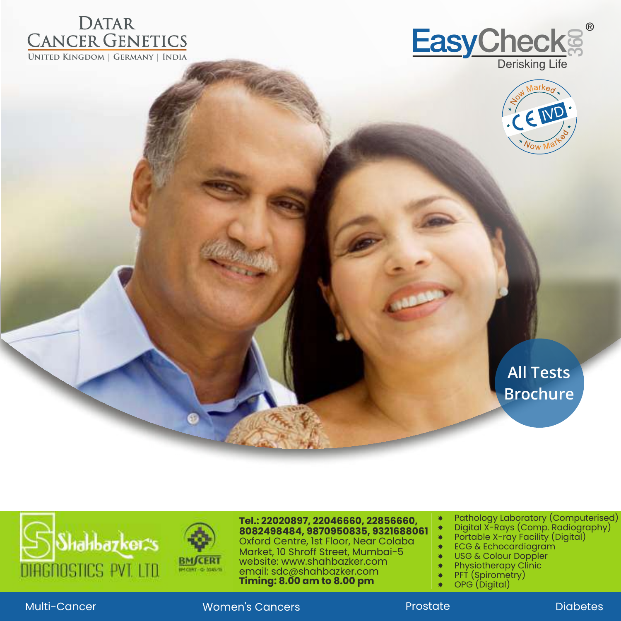





## **All Tests Brochure**





website: www.shahbazker.com Oxford Centre, 1st Floor, Near Colaba Market, 10 Shroff Street, Mumbai-5 email: sdc@shahbazker.com **Timing: 8.00 am to 8.00 pm Tel.: 22020897, 22046660, 22856660, 8082498484, 9870950835, 9321688061**

 Digital X-Rays (Comp. Radiography) Pathology Laboratory (Computerised)

- 
- Portable X-ray Facility (Digital)
- USG & Colour Doppler \* ECG & Echocardiogram
- Physiotherapy Clinic
- PFT (Spirometry)
- 
- OPG (Digital)
- 

Multi-Cancer Women's Cancers Prostate Diabetes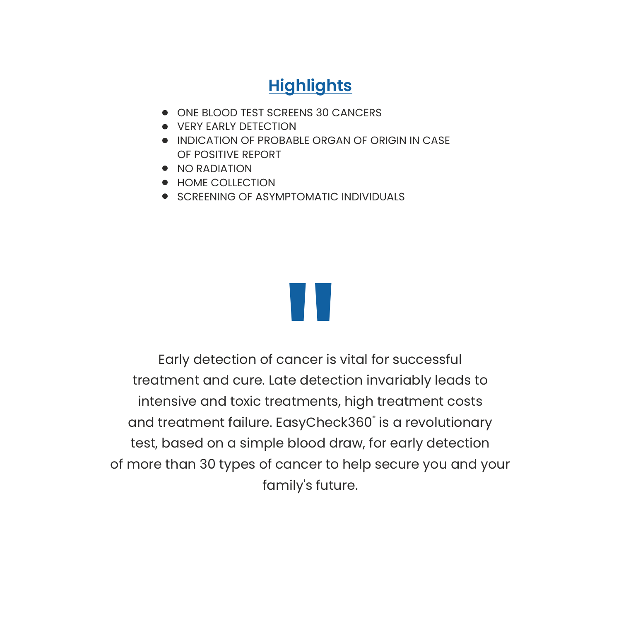### **Highlights**

- ONE BLOOD TEST SCREENS 30 CANCERS
- **VERY EARLY DETECTION**
- INDICATION OF PROBABLE ORGAN OF ORIGIN IN CASE OF POSITIVE REPORT
- $\bullet$  NO RADIATION
- **HOME COLLECTION**
- **SCREENING OF ASYMPTOMATIC INDIVIDUALS**



Early detection of cancer is vital for successful treatment and cure. Late detection invariably leads to intensive and toxic treatments, high treatment costs and treatment failure. EasyCheck360° is a revolutionary test, based on a simple blood draw, for early detection of more than 30 types of cancer to help secure you and your family's future. ancer is<br>te detec<br>atments<br>asyChec<br>blood d<br>ancer to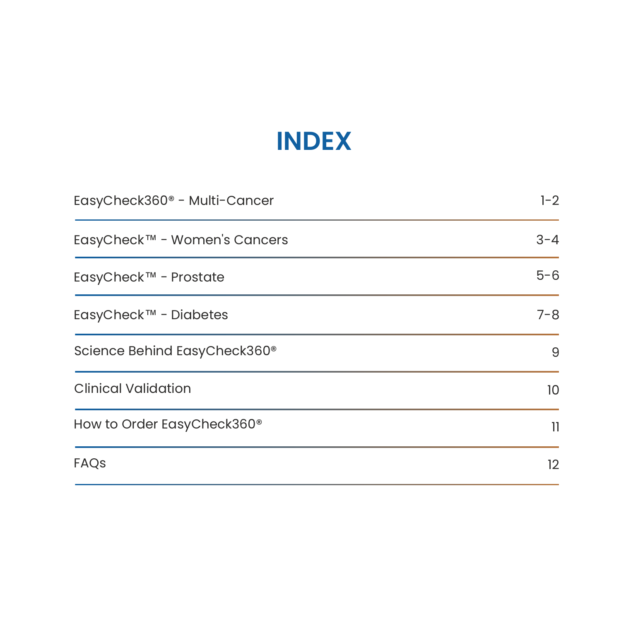# **INDEX**

| EasyCheck360 <sup>®</sup> - Multi-Cancer | $1 - 2$ |
|------------------------------------------|---------|
| EasyCheck™ - Women's Cancers             | $3 - 4$ |
| EasyCheck™ - Prostate                    | $5 - 6$ |
| EasyCheck™ - Diabetes                    | $7 - 8$ |
| Science Behind EasyCheck360 <sup>®</sup> | 9       |
| <b>Clinical Validation</b>               | 10      |
| How to Order EasyCheck360 <sup>®</sup>   | 11      |
| FAQS                                     | 12      |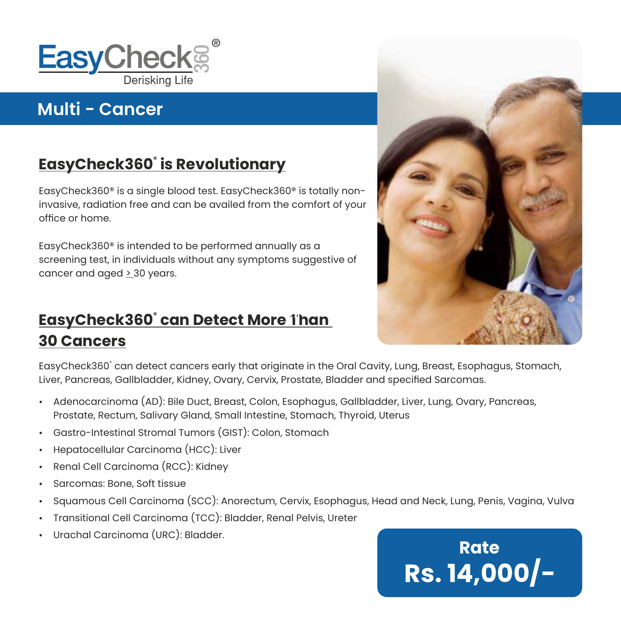

## **Multi - Cancer**

## **® EasyCheck360 is Revolutionary**

EasyCheck360® is a single blood test. EasyCheck360® is totally noninvasive, radiation free and can be availed from the comfort of your office or home.

EasyCheck360® is intended to be performed annually as a screening test, in individuals without any symptoms suggestive of cancer and aged > 30 years.

#### **® EasyCheck360 can Detect More Than 30 Cancers 14,000/-**



EasyCheck360° can detect cancers early that originate in the Oral Cavity, Lung, Breast, Esophagus, Stomach, Liver, Pancreas, Gallbladder, Kidney, Ovary, Cervix, Prostate, Bladder and specified Sarcomas.

- Ÿ Adenocarcinoma (AD): Bile Duct, Breast, Colon, Esophagus, Gallbladder, Liver, Lung, Ovary, Pancreas, Prostate, Rectum, Salivary Gland, Small Intestine, Stomach, Thyroid, Uterus
- Gastro-Intestinal Stromal Tumors (GIST): Colon, Stomach
- Hepatocellular Carcinoma (HCC): Liver
- Renal Cell Carcinoma (RCC): Kidney
- Sarcomas: Bone, Soft tissue
- Squamous Cell Carcinoma (SCC): Anorectum, Cervix, Esophagus, Head and Neck, Lung, Penis, Vagina, Vulva
- Transitional Cell Carcinoma (TCC): Bladder, Renal Pelvis, Ureter
- Urachal Carcinoma (URC): Bladder.

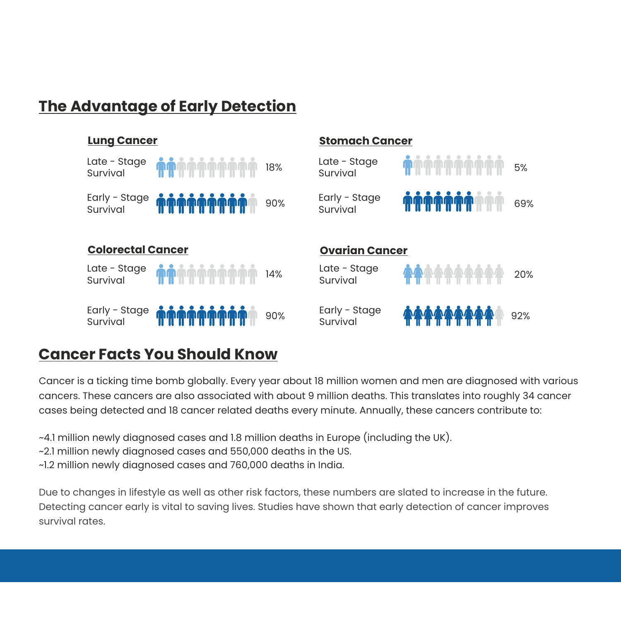### **The Advantage of Early Detection**



#### **Cancer Facts You Should Know**

Cancer is a ticking time bomb globally. Every year about 18 million women and men are diagnosed with various cancers. These cancers are also associated with about 9 million deaths. This translates into roughly 34 cancer cases being detected and 18 cancer related deaths every minute. Annually, these cancers contribute to:

- ~4.1 million newly diagnosed cases and 1.8 million deaths in Europe (including the UK).
- ~2.1 million newly diagnosed cases and 550,000 deaths in the US.
- ~1.2 million newly diagnosed cases and 760,000 deaths in India.

Due to changes in lifestyle as well as other risk factors, these numbers are slated to increase in the future. Detecting cancer early is vital to saving lives. Studies have shown that early detection of cancer improves survival rates.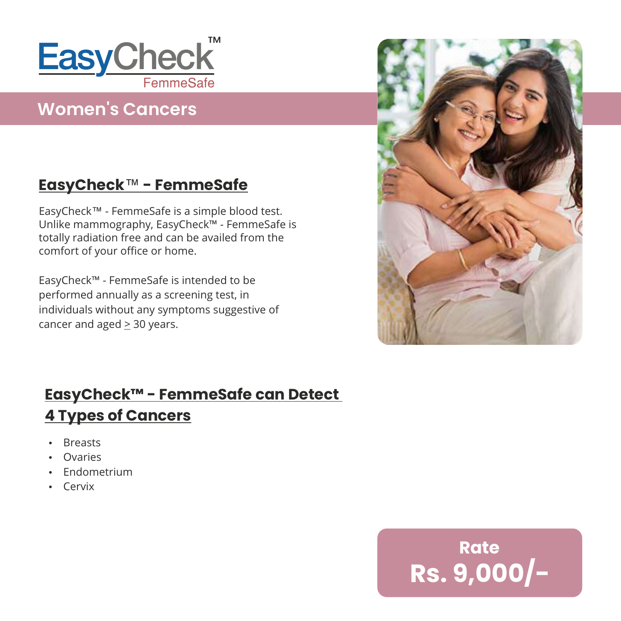

### **Women's Cancers**

### **EasyCheck**™ **- FemmeSafe**

EasyCheck™ - FemmeSafe is a simple blood test. Unlike mammography, EasyCheck™ - FemmeSafe is totally radiation free and can be availed from the comfort of your office or home.

EasyCheck™ - FemmeSafe is intended to be performed annually as a screening test, in individuals without any symptoms suggestive of cancer and aged  $\geq$  30 years.



### **EasyCheck™ - FemmeSafe can Detect 4 Types of Cancers**

- Breasts
- Ovaries
- $\cdot$  Endometrium
- $-Cervix$

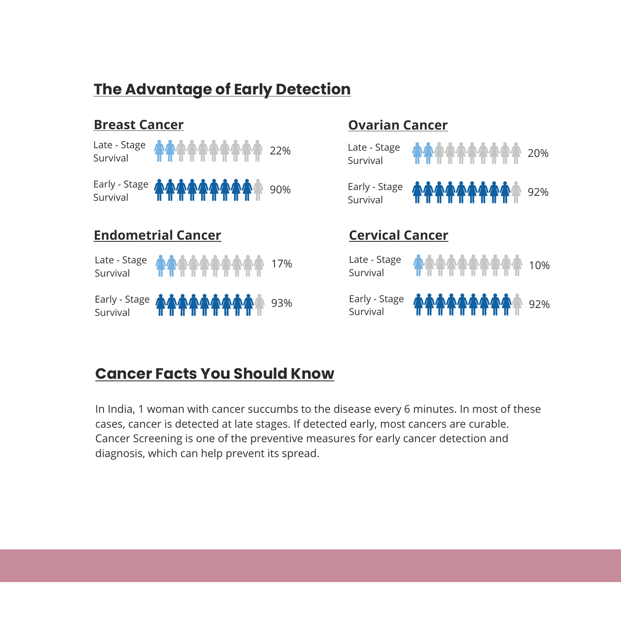### **The Advantage of Early Detection**



### **Cancer Facts You Should Know**

In India, 1 woman with cancer succumbs to the disease every 6 minutes. In most of these cases, cancer is detected at late stages. If detected early, most cancers are curable. Cancer Screening is one of the preventive measures for early cancer detection and diagnosis, which can help prevent its spread.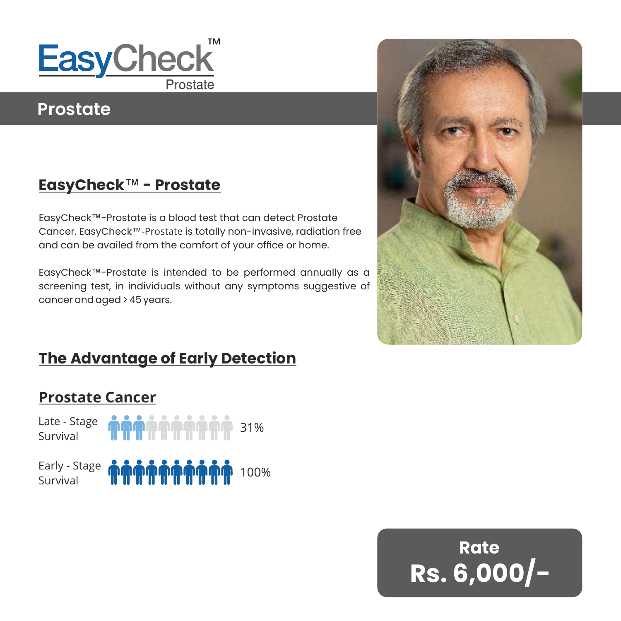

### **Prostate**

### **EasyCheck**™ **- Prostate**

EasyCheck™-Prostate is a blood test that can detect Prostate Cancer. EasyCheck™-Prostate is totally non-invasive, radiation free and can be availed from the comfort of your office or home.

EasyCheck™-Prostate is intended to be performed annually as a screening test, in individuals without any symptoms suggestive of cancer and aged > 45 years.



### **The Advantage of Early Detection**

### **Prostate Cancer**



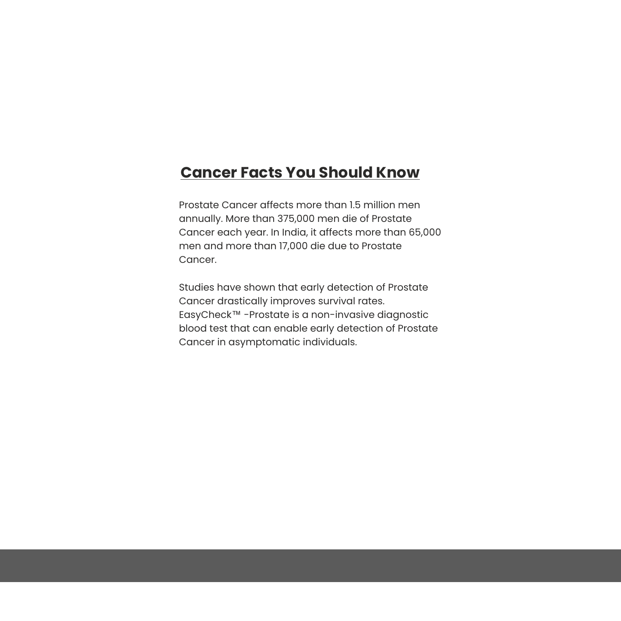#### **Cancer Facts You Should Know**

Prostate Cancer affects more than 1.5 million men annually. More than 375,000 men die of Prostate Cancer each year. In India, it affects more than 65,000 men and more than 17,000 die due to Prostate Cancer.

Studies have shown that early detection of Prostate Cancer drastically improves survival rates. EasyCheck™ -Prostate is a non-invasive diagnostic blood test that can enable early detection of Prostate Cancer in asymptomatic individuals.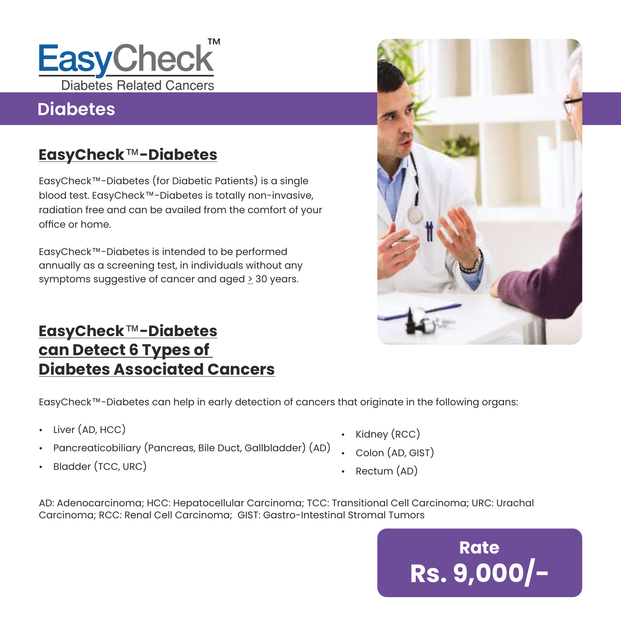

## **Diabetes**

### **EasyCheck**™**-Diabetes**

EasyCheck™-Diabetes (for Diabetic Patients) is a single blood test. EasyCheck™-Diabetes is totally non-invasive, radiation free and can be availed from the comfort of your office or home.

EasyCheck™-Diabetes is intended to be performed annually as a screening test, in individuals without any symptoms suggestive of cancer and aged > 30 years.



### **EasyCheck**™**-Diabetes can Detect 6 Types of Diabetes Associated Cancers**

EasyCheck™-Diabetes can help in early detection of cancers that originate in the following organs:

- $\cdot$  Liver (AD, HCC)
- Pancreaticobiliary (Pancreas, Bile Duct, Gallbladder) (AD)
- Bladder (TCC, URC)
- $\cdot$  Kidney (RCC)
- $\cdot$  Colon (AD, GIST)
- Rectum  $(AD)$

AD: Adenocarcinoma; HCC: Hepatocellular Carcinoma; TCC: Transitional Cell Carcinoma; URC: Urachal Carcinoma; RCC: Renal Cell Carcinoma; GIST: Gastro-Intestinal Stromal Tumors

> **Rate Rs. 9,000/-**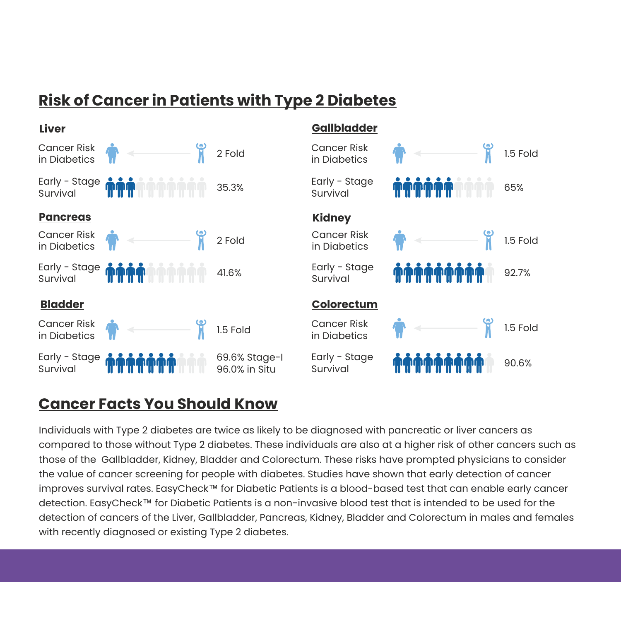### **Risk of Cancer in Patients with Type 2 Diabetes**



#### **Cancer Facts You Should Know**

Individuals with Type 2 diabetes are twice as likely to be diagnosed with pancreatic or liver cancers as compared to those without Type 2 diabetes. These individuals are also at a higher risk of other cancers such as those of the Gallbladder, Kidney, Bladder and Colorectum. These risks have prompted physicians to consider the value of cancer screening for people with diabetes. Studies have shown that early detection of cancer improves survival rates. EasyCheck™ for Diabetic Patients is a blood-based test that can enable early cancer detection. EasyCheck™ for Diabetic Patients is a non-invasive blood test that is intended to be used for the detection of cancers of the Liver, Gallbladder, Pancreas, Kidney, Bladder and Colorectum in males and females with recently diagnosed or existing Type 2 diabetes.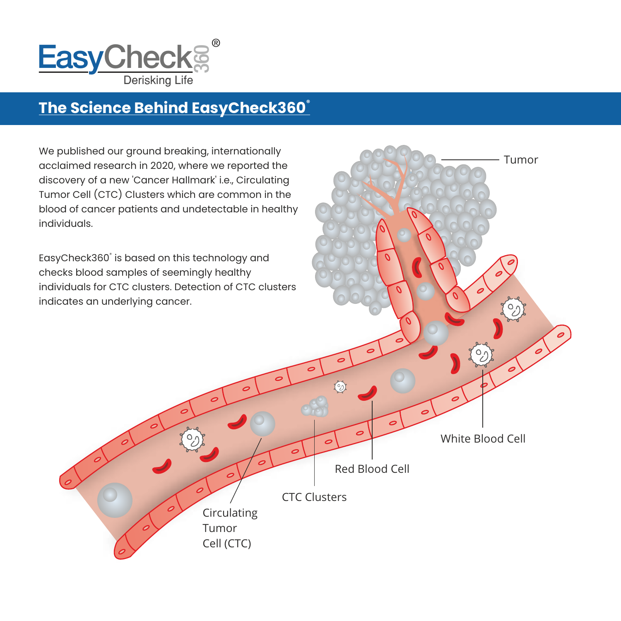

### **® The Science Behind EasyCheck360**

We published our ground breaking, internationally acclaimed research in 2020, where we reported the discovery of a new 'Cancer Hallmark' i.e., Circulating Tumor Cell (CTC) Clusters which are common in the blood of cancer patients and undetectable in healthy individuals.

EasyCheck360° is based on this technology and checks blood samples of seemingly healthy individuals for CTC clusters. Detection of CTC clusters indicates an underlying cancer.



Tumor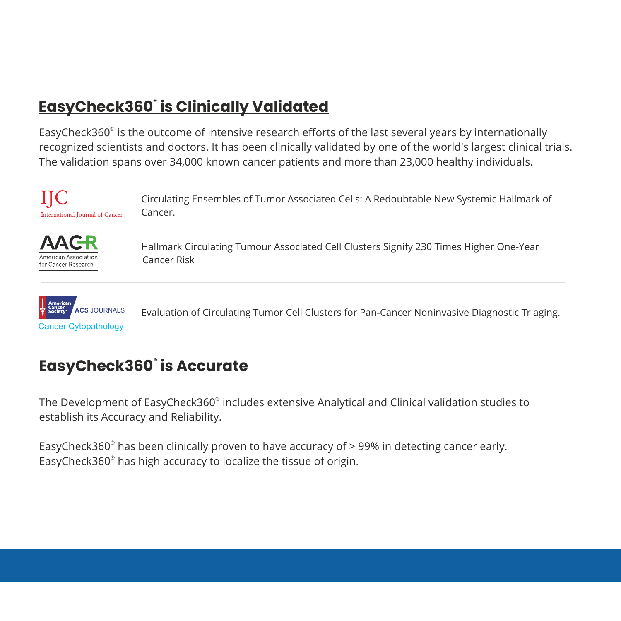## **® EasyCheck360 is Clinically Validated**

EasyCheck360<sup>®</sup> is the outcome of intensive research efforts of the last several years by internationally recognized scientists and doctors. It has been clinically validated by one of the world's largest clinical trials. The validation spans over 34,000 known cancer patients and more than 23,000 healthy individuals.





Hallmark Circulating Tumour Associated Cell Clusters Signify 230 Times Higher One-Year Cancer Risk



Evaluation of Circulating Tumor Cell Clusters for Pan-Cancer Noninvasive Diagnostic Triaging.

### **® EasyCheck360 is Accurate**

The Development of EasyCheck360 $^\circ$  includes extensive Analytical and Clinical validation studies to establish its Accuracy and Reliability.

EasyCheck360 $^{\circ}$  has been clinically proven to have accuracy of > 99% in detecting cancer early. EasyCheck360<sup>®</sup> has high accuracy to localize the tissue of origin.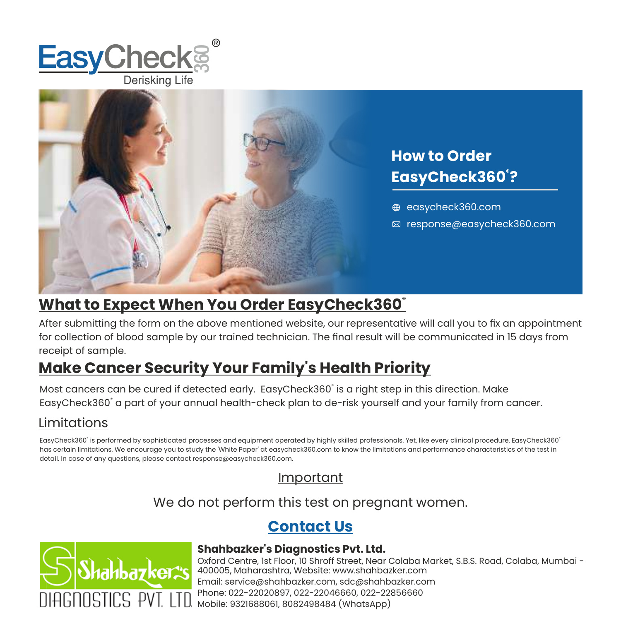



#### **What to Expect When You Order EasyCheck360®**

After submitting the form on the above mentioned website, our representative will call you to fix an appointment for collection of blood sample by our trained technician. The final result will be communicated in 15 days from receipt of sample.

### **Make Cancer Security Your Family's Health Priority**

Most cancers can be cured if detected early. EasyCheck360° is a right step in this direction. Make EasyCheck360° a part of your annual health-check plan to de-risk yourself and your family from cancer.

#### Limitations

® ® EasyCheck360 is performed by sophisticated processes and equipment operated by highly skilled professionals. Yet, like every clinical procedure, EasyCheck360 has certain limitations. We encourage you to study the 'White Paper' at easycheck360.com to know the limitations and performance characteristics of the test in detail. In case of any questions, please contact response@easycheck360.com.

#### Important

We do not perform this test on pregnant women.

### **Contact Us**



#### **Shahbazker's Diagnostics Pvt. Ltd.**

Oxford Centre, 1st Floor, 10 Shroff Street, Near Colaba Market, S.B.S. Road, Colaba, Mumbai - 400005, Maharashtra, Website: www.shahbazker.com Mobile: 9321688061, 8082498484 (WhatsApp) Email: service@shahbazker.com, sdc@shahbazker.com Phone: 022-22020897, 022-22046660, 022-22856660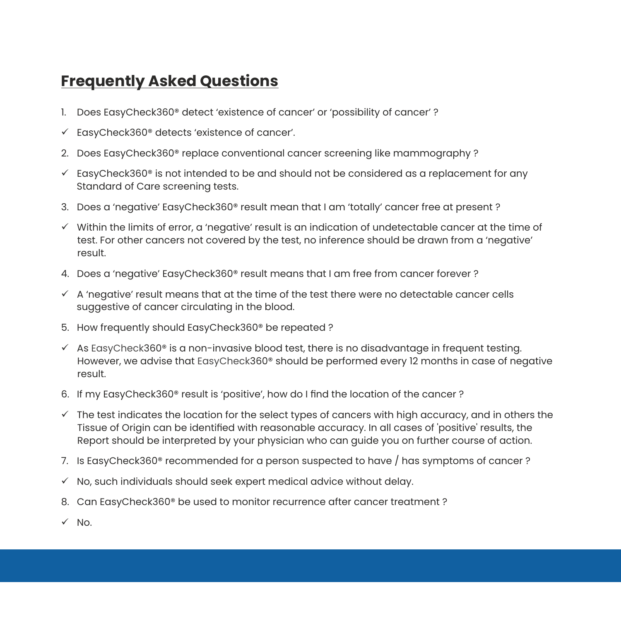### **Frequently Asked Questions**

- 1. Does EasyCheck360<sup>®</sup> detect 'existence of cancer' or 'possibility of cancer'?
- $\checkmark$  EasyCheck360® detects 'existence of cancer'.
- 2. Does EasyCheck360® replace conventional cancer screening like mammography ?
- $\checkmark$  EasyCheck360<sup>®</sup> is not intended to be and should not be considered as a replacement for any Standard of Care screening tests.
- 3. Does a 'negative' EasyCheck360® result mean that I am 'totally' cancer free at present ?
- $\checkmark$  Within the limits of error, a 'negative' result is an indication of undetectable cancer at the time of test. For other cancers not covered by the test, no inference should be drawn from a 'negative' result.
- 4. Does a 'negative' EasyCheck360® result means that I am free from cancer forever ?
- $\checkmark$  A 'negative' result means that at the time of the test there were no detectable cancer cells suggestive of cancer circulating in the blood.
- 5. How frequently should EasyCheck360® be repeated ?
- $\checkmark$  As EasyCheck360® is a non-invasive blood test, there is no disadvantage in frequent testing. However, we advise that EasyCheck360® should be performed every 12 months in case of negative result.
- 6. If my EasyCheck360® result is 'positive', how do I find the location of the cancer ?
- $\checkmark$  The test indicates the location for the select types of cancers with high accuracy, and in others the Tissue of Origin can be identified with reasonable accuracy. In all cases of 'positive' results, the Report should be interpreted by your physician who can guide you on further course of action.
- 7. Is EasyCheck360® recommended for a person suspected to have / has symptoms of cancer ?
- $\checkmark$  No, such individuals should seek expert medical advice without delay.
- 8. Can EasyCheck360® be used to monitor recurrence after cancer treatment ?
- ü No.